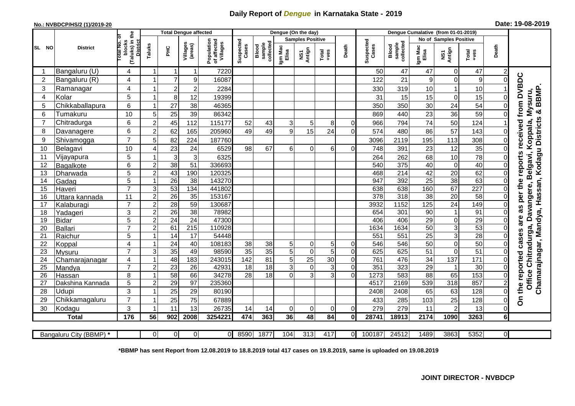## **Daily Report of** *Dengue* **in Karnataka State - 2019**

## **No.: NVBDCP/HS/2 (1)/2019-20 Date: 19-08-2019**

|                |                       | £                                                    |                                  | <b>Total Dengue affected</b> |                       |                                       |                    |                              |                         | Dengue (On the day) |                 |                |                    |                              |                       |                        |                  |                |                                      |
|----------------|-----------------------|------------------------------------------------------|----------------------------------|------------------------------|-----------------------|---------------------------------------|--------------------|------------------------------|-------------------------|---------------------|-----------------|----------------|--------------------|------------------------------|-----------------------|------------------------|------------------|----------------|--------------------------------------|
| SL NO          | <b>District</b>       | ō                                                    |                                  |                              |                       | Population<br>of affected<br>Villages |                    |                              | <b>Samples Positive</b> |                     |                 |                |                    |                              |                       | No of Samples Positive |                  |                |                                      |
|                |                       | (Taluks) in<br>otal No.<br>blocks<br><b>District</b> | Taluks                           | 꾿                            | Villages<br>(areas)   |                                       | Suspected<br>Cases | collected<br>sample<br>Blood | Igm Mac<br>Elisa        | NS1<br>Antign       | Total<br>$-ves$ | Death          | Suspected<br>Cases | collected<br>sample<br>Blood | Igm Mac<br>Elisa      | NS1<br>Antign          | Total<br>+ves    | Death          |                                      |
|                | Bangaluru (U)         | 4                                                    | 1                                | -1                           | 1                     | 7220                                  |                    |                              |                         |                     |                 |                | 50                 | 47                           | 47                    | 0                      | 47               | 2              |                                      |
| $\overline{2}$ | Bangaluru (R)         | 4                                                    |                                  | $\overline{7}$               | $\overline{9}$        | 16087                                 |                    |                              |                         |                     |                 |                | 122                | 21                           | 9                     | $\mathbf 0$            | 9                | $\Omega$       |                                      |
| 3              | Ramanagar             | 4                                                    |                                  | $\overline{\mathbf{c}}$      | $\overline{c}$        | 2284                                  |                    |                              |                         |                     |                 |                | 330                | 319                          | 10                    |                        | 10               |                | received from DVBDC<br>BBMP.         |
| $\overline{4}$ | Kolar                 | 5                                                    | 1                                | $\bf8$                       | 12                    | 19399                                 |                    |                              |                         |                     |                 |                | 31                 | 15                           | 15                    | $\mathbf 0$            | 15               | $\Omega$       |                                      |
| 5              | Chikkaballapura       | 6                                                    | 1                                | 27                           | 38                    | 46365                                 |                    |                              |                         |                     |                 |                | 350                | 350                          | 30                    | 24                     | 54               | $\Omega$       | Mysuru,                              |
| 6              | Tumakuru              | 10                                                   | 5                                | 25                           | 39                    | 86342                                 |                    |                              |                         |                     |                 |                | 869                | 440                          | 23                    | 36                     | 59               | $\Omega$       | න්                                   |
| $\overline{7}$ | Chitradurga           | 6                                                    | $\overline{2}$                   | 45                           | 112                   | 115177                                | 52                 | 43                           | 3                       | 5                   | 8               | $\Omega$       | 966                | 794                          | 74                    | 50                     | 124              |                |                                      |
| 8              | Davanagere            | 6                                                    | $\overline{2}$                   | 62                           | 165                   | 205960                                | 49                 | 49                           | 9                       | 15                  | 24              | $\Omega$       | 574                | 480                          | 86                    | 57                     | 143              |                |                                      |
| 9              | Shivamogga            | $\overline{7}$                                       | 5                                | 82                           | 224                   | 187760                                |                    |                              |                         |                     |                 |                | 3096               | 2119                         | 195                   | 113                    | 308              | 0              | Hassan, Kodagu Districts<br>Koppala, |
| 10             | Belagavi              | 10                                                   | 4                                | 23                           | 24                    | 6529                                  | 98                 | 67                           | 6                       | $\Omega$            | 6               | $\Omega$       | 748                | 391                          | 23                    | 12                     | 35               | $\Omega$       |                                      |
| 11             | Vijayapura            | 5                                                    |                                  | 3                            | 3 <sup>1</sup>        | 6325                                  |                    |                              |                         |                     |                 |                | 264                | 262                          | 68                    | 10                     | 78               |                | reports<br>Belgavi,                  |
| 12             | Bagalkote             | 6                                                    | $\boldsymbol{2}$                 | 38                           | $\overline{51}$       | 336693                                |                    |                              |                         |                     |                 |                | 540                | 375                          | 40                    | $\mathbf 0$            | 40               | 0              |                                      |
| 13             | Dharwada              | 5                                                    | $\boldsymbol{2}$                 | 43                           | 190                   | 120325                                |                    |                              |                         |                     |                 |                | 468                | $\overline{214}$             | 42                    | $\overline{20}$        | 62               | $\Omega$       |                                      |
| 14             | Gadag                 | 5                                                    | $\overline{1}$                   | $\overline{26}$              | 38                    | 143270                                |                    |                              |                         |                     |                 |                | 947                | 392                          | $\overline{25}$       | 38                     | 63               | $\Omega$       |                                      |
| 15             | Haveri                | $\overline{7}$                                       | 3                                | 53                           | 134                   | 441802                                |                    |                              |                         |                     |                 |                | 638                | 638                          | 160                   | 67                     | $\overline{227}$ |                | per the                              |
| 16             | Uttara kannada        | 11                                                   | $\overline{2}$                   | 26                           | $\overline{35}$       | 153167                                |                    |                              |                         |                     |                 |                | 378                | $\overline{318}$             | $\overline{38}$       | $\overline{20}$        | 58               | 0              |                                      |
| 17             | Kalaburagi            | $\overline{7}$                                       | $\boldsymbol{2}$                 | 28                           | 59                    | 130687                                |                    |                              |                         |                     |                 |                | 3932               | 1152                         | 125                   | 24                     | 149              | $\Omega$       | 3g                                   |
| 18             | Yadageri              | 3                                                    | $\overline{2}$                   | $\overline{26}$              | 38                    | 78982                                 |                    |                              |                         |                     |                 |                | 654                | 301                          | 90                    |                        | $\overline{91}$  | 0              |                                      |
| 19             | <b>Bidar</b>          | 5<br>$\overline{7}$                                  | $\overline{c}$                   | $\overline{24}$              | $\overline{24}$       | 47300                                 |                    |                              |                         |                     |                 |                | 406                | 406                          | 29                    | $\mathbf 0$            | 29               |                | are                                  |
| 20             | Ballari               |                                                      | $\overline{2}$<br>$\overline{1}$ | 61                           | 215                   | 110928                                |                    |                              |                         |                     |                 |                | 1634               | 1634                         | 50                    | 3                      | 53<br>28         |                |                                      |
| 21<br>22       | Raichur               | 5<br>4                                               | 1                                | $\overline{14}$<br>24        | $\overline{17}$<br>40 | 54448<br>108183                       | 38                 | 38                           | 5                       | 0                   | 5 <sup>1</sup>  | $\Omega$       | 551<br>546         | 551<br>546                   | $\overline{25}$<br>50 | 3<br>$\mathbf 0$       | 50               |                | cases                                |
| 23             | Koppal<br>Mysuru      | $\overline{7}$                                       | 3                                | $\overline{35}$              | 49                    | 98590                                 | $\overline{35}$    | $\overline{35}$              | 5                       | 0                   | 5               | $\Omega$       | 625                | 625                          | 51                    | $\mathbf 0$            | $\overline{51}$  |                |                                      |
| 24             | Chamarajanagar        | 4                                                    | $\overline{\mathbf{1}}$          | 48                           | 183                   | 243015                                | $\overline{142}$   | 81                           | $\overline{5}$          | $\overline{25}$     | $\overline{30}$ | $\overline{0}$ | 761                | 476                          | $\overline{34}$       | 137                    | $\overline{171}$ | $\Omega$       | Chitradurga, Davangere,              |
| 25             | Mandya                | $\overline{7}$                                       | $\overline{c}$                   | 23                           | $\overline{26}$       | 42931                                 | $\overline{18}$    | 18                           | 3                       | $\boldsymbol{0}$    | 3               | $\overline{O}$ | 351                | 323                          | 29                    |                        | 30               | $\Omega$       |                                      |
| 26             | Hassan                | 8                                                    | 1                                | $\overline{58}$              | 66                    | 34278                                 | 28                 | 18                           | $\overline{0}$          | 3                   | 3               | $\Omega$       | 1273               | 583                          | $\overline{88}$       | 65                     | 153              | $\Omega$       |                                      |
| 27             | Dakshina Kannada      | 5                                                    | $\overline{2}$                   | 29                           | $\overline{97}$       | 235360                                |                    |                              |                         |                     |                 |                | 4517               | 2169                         | 539                   | 318                    | 857              | $\overline{2}$ | Office                               |
| 28             | Udupi                 | 3                                                    |                                  | 25                           | 29                    | 80190                                 |                    |                              |                         |                     |                 |                | 2408               | 2408                         | 65                    | 63                     | 128              | 0              | Chamarajnagar, Mandya,               |
| 29             | Chikkamagaluru        | $\overline{7}$                                       |                                  | 25                           | 75                    | 67889                                 |                    |                              |                         |                     |                 |                | 433                | 285                          | 103                   | 25                     | 128              | 0l             | On the reported                      |
| 30             | Kodagu                | 3                                                    | 1                                | 11                           | 13                    | 26735                                 | 14                 | 14                           | 0                       | 0                   | $\overline{0}$  | 0              | 279                | 279                          | 11                    | $\overline{2}$         | 13               | $\overline{0}$ |                                      |
|                | <b>Total</b>          | 176                                                  | 56                               | 902                          | 2008                  | 3254221                               | 474                | 363                          | 36                      | 48                  | 84              | $\mathbf{0}$   | 28741              | 18913                        | 2174                  | 1090                   | 3263             | 6              |                                      |
|                |                       |                                                      |                                  |                              |                       |                                       |                    |                              |                         |                     |                 |                |                    |                              |                       |                        |                  |                |                                      |
|                | Bangaluru City (BBMP) |                                                      | $\Omega$                         | $\Omega$                     | $\Omega$              | ΟI                                    | 8590               | 1877                         | 104                     | 313                 | 417             | ΩI             | 100187             | 24512                        | 1489                  | 3863                   | 5352             | $\overline{0}$ |                                      |

**\*BBMP has sent Report from 12.08.2019 to 18.8.2019 total 417 cases on 19.8.2019, same is uploaded on 19.08.2019**